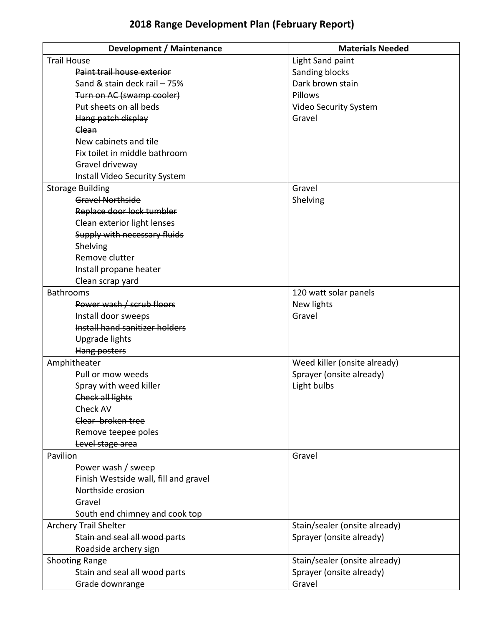## **2018 Range Development Plan (February Report)**

| Development / Maintenance             | <b>Materials Needed</b>       |
|---------------------------------------|-------------------------------|
| <b>Trail House</b>                    | Light Sand paint              |
| Paint trail house exterior            | Sanding blocks                |
| Sand & stain deck rail - 75%          | Dark brown stain              |
| Turn on AC (swamp cooler)             | Pillows                       |
| Put sheets on all beds                | Video Security System         |
| Hang patch display                    | Gravel                        |
| Clean                                 |                               |
| New cabinets and tile                 |                               |
| Fix toilet in middle bathroom         |                               |
| Gravel driveway                       |                               |
| Install Video Security System         |                               |
| <b>Storage Building</b>               | Gravel                        |
| Gravel Northside                      | Shelving                      |
| Replace door lock tumbler             |                               |
| <b>Clean exterior light lenses</b>    |                               |
| Supply with necessary fluids          |                               |
| Shelving                              |                               |
| Remove clutter                        |                               |
| Install propane heater                |                               |
| Clean scrap yard                      |                               |
| <b>Bathrooms</b>                      | 120 watt solar panels         |
| Power wash / scrub floors             | New lights                    |
| Install door sweeps                   | Gravel                        |
| Install hand sanitizer holders        |                               |
| Upgrade lights                        |                               |
| Hang posters                          |                               |
| Amphitheater                          | Weed killer (onsite already)  |
| Pull or mow weeds                     | Sprayer (onsite already)      |
| Spray with weed killer                | Light bulbs                   |
| <b>Check all lights</b>               |                               |
| Check AV                              |                               |
| Clear broken tree                     |                               |
| Remove teepee poles                   |                               |
| Level stage area                      |                               |
| Pavilion                              | Gravel                        |
| Power wash / sweep                    |                               |
| Finish Westside wall, fill and gravel |                               |
| Northside erosion                     |                               |
| Gravel                                |                               |
| South end chimney and cook top        |                               |
| <b>Archery Trail Shelter</b>          | Stain/sealer (onsite already) |
| Stain and seal all wood parts         | Sprayer (onsite already)      |
| Roadside archery sign                 |                               |
| <b>Shooting Range</b>                 | Stain/sealer (onsite already) |
| Stain and seal all wood parts         | Sprayer (onsite already)      |
| Grade downrange                       | Gravel                        |